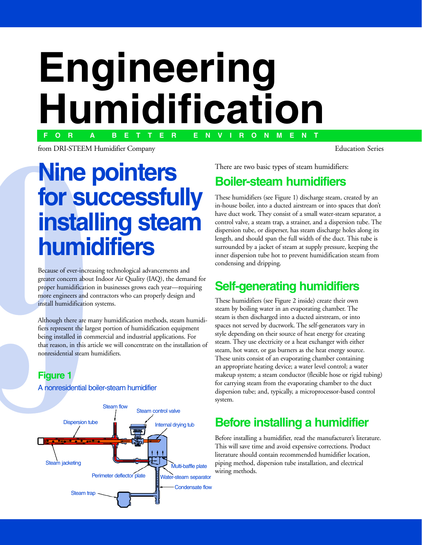# **F O R A B E T T E R E N V I R O N M E N TEngineering for successibility**  $\overline{f}$ **installing steam Boiler-steam humidifiers**

**humidifier Company**<br>from DRI-STEEM Humidifier Company

# There are two basic types of steam humidifiers:<br> **for successfully** These humidifiers (see Figure 1) discharge steam, created by an<br>
an-house boiler, into a ducted airstream or into spaces that don't<br>
have duct work. They **Nine pointers installing steam** humidifiers

greater concern about Indoor Air Quality (IAQ), the deman<br>proper humidification in businesses grows each year—requi<br>more engineers and contractors who can properly design an<br>install humidification systems.<br>Although there a proper humidification in businesses grows each year—requiring<br>more engineers and contractors who can properly design and<br>install humidification systems.<br>Although there are many humidification methods, steam humidi-<br>fiers r

properly design and<br>more engineers and contractors who can properly design and<br>install humidification systems.<br>Although there are many humidification methods, steam humid<br>fiers represent the largest portion of humidificati install humidification systems.<br>Although there are many humidification methods, steam hun<br>fiers represent the largest portion of humidification equipmen<br>being installed in commercial and industrial applications. For<br>that r install humidification systems.<br>Although there are many humidification methods, steam humidifiers represent the largest portion of humidification equipment<br>being installed in commercial and industrial applications. For<br>tha Figure 1<br>**Figure 1**<br>**Figure 1**<br>**Figure 1**<br>**Figure 1**<br>**Figure 1**<br>**Figure 1**<br>**Figure 1** that reason, in this article we will concentrate on the installation of that reasons in the reason of the international state will concentrate the international concentration of the international concentration of the international concentration of the international concentration of the interna

### $\blacksquare$

A nonresidential boiler-steam humidifier



There are two basic types of steam humidifiers:<br> **Boiler-steam humidifiers**<br>
These humidifiers (see Figure 1) discharge steam, created by an<br>
in-house boiler, into a ducted airstream or into spaces that don't<br>
have duct wo in-house boiler, into a ducted airstream or into spaces that don't<br>have duct work. They consist of a small water-steam separator, a<br>control valve, a steam trap, a strainer, and a dispersion tube. The<br>dispersion tube, or di have duct work. They consist of a small water-steam separator, a control valve, a steam trap, a strainer, and a dispersion tube. The dispersion tube, or disperser, has steam discharge holes along its length, and should spa control valve, a steam trap, a strainer, and a dispersion tube. The dispersion tube, or disperser, has steam discharge holes along its length, and should span the full width of the duct. This tube is surrounded by a jacket dispersion tube, or disperser, has steam discharge holes along its<br>length, and should span the full width of the duct. This tube is<br>surrounded by a jacket of steam at supply pressure, keeping the<br>inner dispersion tube hot length, and should span the full width of the duct. This tube is<br>surrounded by a jacket of steam at supply pressure, keeping the<br>inner dispersion tube hot to prevent humidification steam from<br>condensing and dripping.<br>**Self** surrounded by a jacket of steam at supply pressure, keeping the<br>inner dispersion tube hot to prevent humidification steam from<br>condensing and dripping.<br>**Self-generating humidifiers** Surface of specification steam at the property present in the condensing and dripping.<br>
Surface has dripping.<br>
Surface humidifiers (see Figure 2 inside) create their own<br>
steam by beiling water in an avananting shamber. Th

condensing and dripping.<br> **Self-generating humidifiers**<br>
These humidifiers (see Figure 2 inside) create their own<br>
steam by boiling water in an evaporating chamber. The<br>
steam is then disphared into a durand signtneous or **Self-generation**<br>These humidifiers (see Fig<br>steam by boiling water in<br>steam is then discharged is steam by boiling water in an evaporating chamber. The<br>steam is then discharged into a ducted airstream, or into<br>spaces not served by ductwork. The self-generators vary<br>style depending on their source of heat energy for cre steam is then discharged into a ducted airstream, or into<br>spaces not served by ductwork. The self-generators vary<br>style depending on their source of heat energy for creatii<br>steam. They use electricity or a heat exchanger w spaces not served by ductwork. The self-generators vary i<br>style depending on their source of heat energy for creatin<br>steam. They use electricity or a heat exchanger with eithe<br>steam, hot water, or gas burners as the heat e Fivale depending on their source of heat energy for creating<br>steam. They use electricity or a heat exchanger with either<br>steam, hot water, or gas burners as the heat energy source.<br>These units consist of an evaporating cha steam. They use electricity or a heat exchanger with either<br>steam, hot water, or gas burners as the heat energy source.<br>These units consist of an evaporating chamber containing<br>an appropriate heating device; a water level steam, hot water, or gas burners as the heat energy source.<br>These units consist of an evaporating chamber containing<br>an appropriate heating device; a water level control; a wate<br>makeup system; a steam conductor (flexible h These units consist of an evaporating chamber containing<br>an appropriate heating device; a water level control; a water<br>makeup system; a steam conductor (flexible hose or rigid to<br>for carrying steam from the evaporating cha an appropriate heating device; a water level control; a water<br>makeup system; a steam conductor (flexible hose or rigid tu<br>for carrying steam from the evaporating chamber to the due<br>dispersion tube; and, typically, a microp makeup system; a steam conductor (flexible hose or rigid tu<br>for carrying steam from the evaporating chamber to the duc<br>dispersion tube; and, typically, a microprocessor-based control<br>system. for carrying steam from the evaporating chamber to the duct<br>dispersion tube; and, typically, a microprocessor-based control<br>system. dispersion tube; and, typically, a microprocessor-based controsystem.<br>System.<br>**Before installing a humidifier**, read the manufacturer's literature respectively.

dispersion tube; and the processor of the system.<br> **Before installing a humidifier, read the manufacturer's literatur**<br>
This will save time and avoid expensive corrections. Product **Bef**<br>Before<br>This wi<br>literatu Before installing a humidifier, read the manufacturer's literature.<br>This will save time and avoid expensive corrections. Product<br>literature should contain recommended humidifier location,<br>piping method, dispersion tube ins literature should contain recommended humidifier location, piping method, dispersion tube installation, and electrical ping methods.<br>wiring methods.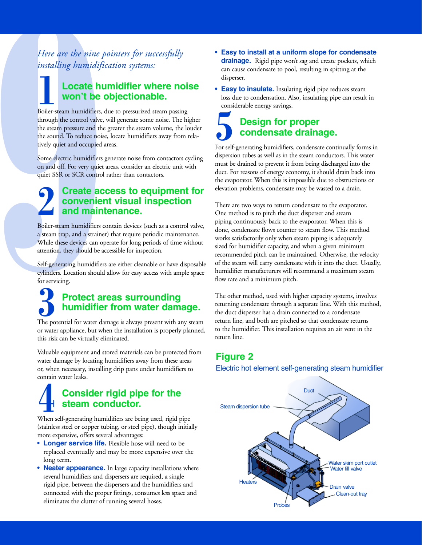Here are the nine pointers for successfully *installing humidification systems:*  **Locate humidifier where noise** 

### **Locate humidifier where noise** won't be objectionable.

through the control valve, will generate some noise. The hit the steam pressure and the greater the steam volume, the lot the sound. To reduce noise, locate humidifiers away from tively quiet and occupied areas.<br>Some elect the steam pressure and the greater the steam volume, the louder<br>the sound. To reduce noise, locate humidifiers away from rela-<br>tively quiet and occupied areas.<br>Some electric humidifiers generate noise from contactors cycli tively quiet and occupied areas. Boiler-steam humidifiers, due to pressurized steam passing

the sound. To reduce noise, locate humidifiers away from relatively quiet and occupied areas.<br>Some electric humidifiers generate noise from contactors cycling on and off. For very quiet areas, consider an electric unit wit Some electric humidifiers gener<br>on and off. For very quiet areas.<br>quiet SSR or SCR control rather<br>**Create acces**. tric humidifiers generate noise from contactors cycl on and off. For very quiet areas, consider an electric unit with quiet SSR or SCR control rather than contactors.

### $\bullet$  sounder access to equipment for For the control calculate the control contact of the pullet SSR or SCR control rather than contactors.<br>
Create access to equipment for<br>
Create access to equipment for<br>
and maintenance. quiet SSR or SCR control rather than contactors.<br> **Create access to equipment for convenient visual inspection**<br>
and maintenance.<br>
Boiler-steam humidifiers contain devices (such as a control value Create access to equip<br>
convenient visual inspeared in the maintenance.<br>
Boiler-steam humidifiers contain devices (such as<br>
a steam trap, and a strainer) that require periodic **2**

For the steam trap, and a strainer) that require periodic maintenance.<br>While these devices can operate for long periods of time without attention, they should be accessible for inspection.<br>Self-generating humidifiers are e attention, they should be accessible for inspection.

While these devices can operate for long periods of time without attention, they should be accessible for inspection.<br>Self-generating humidifiers are either cleanable or have disposably<br>cylinders. Location should allow for Matter and they should be accessible for inspection.<br>Self-generating humidifiers are either cleanable or have disposable<br>cylinders. Location should allow for easy access with ample space<br>for servicing.<br>**Protect areas surro** cylinders. Location should allow for easy access with ample space<br>for servicing.<br>**Protect areas surrounding** ating humidifiers are either cleanable or have disposal

# Selfinders. Location should allow for easy access with ample space<br>for servicing.<br>**Protect areas surrounding<br>humidifier from water damage.**<br>The potential for water damage is always present with any steam for servicing.<br> **Cylinders. Protect areas surrounding<br>
Cylinders. The potential for water damage is always present with any steam<br>
or water appliance, but when the installation is properly planned, P**<br>The potentia<br>or water app

The potential for water analogs is always present with any steam<br>or water appliance, but when the installation is properly planned,<br>this risk can be virtually eliminated.<br>Valuable equipment and stored materials can be prot or water appearing our when the installation is properly planned,<br>this risk can be virtually eliminated.<br>Valuable equipment and stored materials can be protected from<br>water damage by locating humidifiers away from these ar Valuable equipment and stored materially eliminated.<br>
Waluable equipment and stored material<br>
or, when necessary, installing drip pa<br>
contain water leaks.<br>
Consider rigid Value of the protected materials can be protected them<br>water damage by locating humidifiers away from these areas<br>or, when necessary, installing drip pans under humidifiers to<br>contain water leaks.<br>**Consider rigid pipe for** equipment and stored materials can be protecte water damage by locating humidifiers away from these areas or, when necessary, installing drip pans under humidifiers to

### or, when necessary, installing drip pans under humidifiers to<br>contain water leaks.<br>**Consider rigid pipe for the<br>steam conductor.**<br>When self-generating humidifiers are being used, rigid pipe Consider rigid pipe for the<br>
Steam conductor.<br>
When self-generating humidifiers are being used, rigid pipe<br>
(stainless steel or copper tubing, or steel pipe), though initially **Consi**<br> **consi**<br> **contain Steam**<br>
When self-generatin<br>
(stainless steel or co<br>
more expensive, official steam conductor. **•4**

When self-generating hum<br>
(stainless steel or copper tu<br>
more expensive, offers seve<br> **•** Longer service life.

- (stainless steel or copper tubing, or steel pipe), though initially<br>more expensive, offers several advantages:<br>
 **Longer service life.** Flexible hose will need to be<br>
replaced eventually and may be more expensive over the **• Longer service life.** Flexible hose will need to be
- Neater appearance. In large capacity installations where • **Longer service life.** Flexible hose<br>replaced eventually and may be more<br>long term.<br>• **Neater appearance**. In large capaci<br>several humidifiers and dispersers are re<br>rigid pipe, between the dispersers and t<br>connected with Fluit the two two texts of the set of the may be more expensive over the line of the material in the dispersers are required, a single dispersers and the humidifiers a er fittings, consumes less space running several hoses **Replaced eventually and may be more expensive over the long term.**<br> **Neater appearance.** In large capacity installations when<br>
several humidifiers and dispersers are required, a single<br>
rigid pipe, between the dispersers **Neater application**<br>**Neater application**<br>rigid pipe,<br>connected<br>eliminates In large capacity instants and<br>dispersers are required, a single<br>dispersers and the humidifiers and<br>poer fittings, consumes less space and<br>running several hoses. rigid pipe, between the dispersers and the humidifiers and connected with the proper fittings, consumes less space and eliminates the clutter of running several hoses. rigid pipe, between the dispersers and the humidiants and connected with the proper fittings, consumes less space and eliminates the clutter of running several hoses. connected with the proper fittings, consumer the product<br>eliminates the clutter of running several hoses. eliminates the clutter of running several hoses.
- drainage. Rigid pipe won't sag and create pockets, which **Design for proper**
- Example and create points, which<br>idensate to pool, resulting in spitting at the<br>**sulate.** Insulating rigid pipe reduces steam<br>ondensation. Also, insulating pipe can result in<br>energy savings. cal condensate condensation of property and the condensation. Also, insulating pipe can result<br>considerable energy savings.<br>**Design for proper** disperser.<br> **Easy to insulate.** Insulat<br>
loss due to condensation. Al<br>
considerable energy savings. Insulating rigid pipe can result<br>tion. Also, insulating pipe can result<br>savings.<br>**for proper**<br>sate drainage.<br>idifiers, condensate continually form **• Easy to insulate.** Insulating rigid pipe reduces steam

### Considerable energy savings.<br> **Design for proper**<br> **Condensate drainage.**<br>
The self-generating humidifiers, condensate continually forms in spersion tubes as well as in the steam conductors. This water **Design for property of the Condensate**<br>
F self-generating humidifiers<br>
spersion tubes as well as in the drained to prevent it if condensate drainage. **5**<br>**5**<br>For self

**drainage.** 

For self-generating huminizer, continuate continually helian dispersion tubes as well as in the steam conductors. This water must be drained to prevent it from being discharged into the duct. For reasons of energy economy, must be drained to prevent it from being discharged into the<br>duct. For reasons of energy economy, it should drain back into<br>the evaporator. When this is impossible due to obstructions or<br>elevation problems, condensate may must be drained to prevent it from being an<br>duct. For reasons of energy economy, it should drain back int<br>the evaporator. When this is impossible due to obstructions of<br>elevation problems, condensate may be wasted to a dra

duction and the evaporator. When this is impossible due to obstructions or<br>elevation problems, condensate may be wasted to a drain.<br>There are two ways to return condensate to the evaporator.<br>One method is to pitch the duct There are two ways to return condensate to the evaporator.<br>There are two ways to return condensate to the evaporator.<br>One method is to pitch the duct disperser and steam<br>piping continuously back to the evaporator. When thi There are two ways to return condensate to the evaporate One method is to pitch the duct disperser and steam piping continuously back to the evaporator. When this is done, condensate flows counter to steam flow. This metho There are two ways to clear the evaporator of the evaporator. When this is done, condensate flows counter to steam flow. This method works satisfactorily only when steam piping is adequately sized for humidifier capacity, Figure method is to prince the dupleted in the prince of piping continuously back to the evaporator. When the done, condensate flows counter to steam flow. This method is a steam sized for humidifier capacity, and when a g done, condensate flows counter to steam flow. This method works satisfactorily only when steam piping is adequately sized for humidifier capacity, and when a given minimum recommended pitch can be maintained. Otherwise, th morks satisfactorily only when steam piping is adequately sized for humidifier capacity, and when a given minimum recommended pitch can be maintained. Otherwise, the veloof the steam will carry condensate with it into the sized for humidifier capacity, and when a given minimum sized the transmission of the maintained. Otherwise, the velof the steam will carry condensate with it into the duct. Us<br>humidifier manufacturers will recommend a maximum ste<br>flow rate and a minimum pitch.<br>The other method of the steam will carry condensate with it into the duct. Usually,

of the steam will commend a maximum steam.<br>
Humidifier manufacturers will recommend a maximum steam<br>
flow rate and a minimum pitch.<br>
The other method, used with higher capacity systems, involves<br>
returning condensate throu How rate and a minimum pitch.<br>The other method, used with higher capacity systems, involves<br>returning condensate through a separate line. With this metho<br>the duct disperser has a drain connected to a condensate<br>return line The other method, used with his<br>returning condensate through a<br>the duct disperser has a drain co<br>return line, and both are pitched<br>to the humidifier. This installatie<br>return line. The other methods, and then inguite expanses of the method enterties in the duct disperser has a drain connected to a condensate return line, and both are pitched so that condensate returns to the humidifier. This installa return line, and both are pitched so that condensate returns<br>to the humidifier. This installation requires an air vent in the<br>return line.<br>Figure 2 the duct disperse that a drain connected to a condensate return line, and both are pitched so that condensate return to the humidifier. This installation requires an air vent in return line.<br> **Figure 2**<br>
Electric hot eleme Frequence and both are presented so that condensate returns to the humidifier. This installation requires an air vent in the return line.<br>
Figure 2<br>
Electric hot element self-generating steam humid the duct disperser has a drain connected to a condensate

Electric hot element self-generating steam humidifier

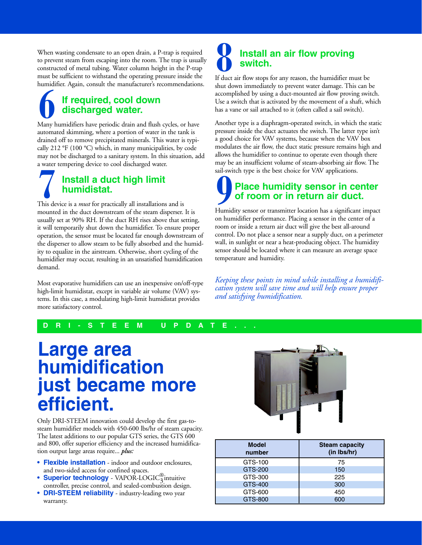to prevent steam from escaping into the room. The trap is usuall constructed of metal tubing. Water column height in the P-trap must be sufficient to withstand the operating pressure inside the humidifier. Again, consult t to constructed of metal tubing. Water column height in the P-trap must be sufficient to withstand the operating pressure inside the humidifier. Again, consult the manufacturer's recommendations.<br> **discharged water.** humidifier. Again, consult the manufacturer's recommendations. When wasting condensate to an open drain, a P-trap is required to prevent steam from escaping into the room. The trap is usually

# must be sufficient to withstand the operating pressure inside the<br>humidifier. Again, consult the manufacturer's recommendations<br>**if required, cool down**<br>**discharged water.**<br>Many humidifiers have periodic drain and flush cy discharged water.

humidifier. Again, consult the manufacturer's recommendations. **6** automated skimming, where a portion of water in the tank is drained off to remove precipitated minerals. This water is typically 212 °F (100 °C) which, in many municipalities, by code may not be discharged to a sanitary sy automated skimming, where a portion of water in the tank is<br>drained off to remove precipitated minerals. This water is typically 212 °F (100 °C) which, in many municipalities, by code<br>may not be discharged to a sanitary sy cally 212 °F (100 °C) which, in many municipalities, by code

# may not be discharged to a sanitary system. In this situation, add<br>a water tempering device to cool discharged water.<br>**INSTALE ACTION SET (100 °C)**<br>**INSTALE ACTION MUNICISTAL**<br>This device is a *must* for practically all in

drained of to remove precipitated minerals. This water is typimay not be discussed to a standary system in this distance.<br>
a water tempering device to cool discharged water.<br> **Install a duct high limit**<br> **Install a duct high limit**<br> **Installations** and is<br>
mounted in the duct downstr a water tempering device to cool discharged water.<br> **17 All a duct high limit**<br> **17 All a duct high limit**<br> **7** This device is a *must* for practically all installations<br>
mounted in the duct downstream of the steam dis<br>
us This device is a *must* for practically all installations and is<br>mounted in the duct downstream of the steam disperser.<br>usually set at 90% RH. If the duct RH rises above that se<br>it will temporarily shut down the humidifier mounted in the duct RH rises above that setting<br>it will temporarily shut down the humidifier. To ensure prope<br>operation, the sensor must be located far enough downstream<br>the disperser to allow steam to be fully absorbed an it will temporarily shut down the humidifier. To ensure proper operation, the sensor must be located far enough downstream of the disperser to allow steam to be fully absorbed and the humidity to equalize in the airstream Figures with the humidipped and the humidipped<br>operation, the sensor must be located far enough downstream of<br>the disperser to allow steam to be fully absorbed and the humid<br>ity to equalize in the airstream. Otherwise, sho operative the disperser to allow steam to be fully absorbed and the humid-<br>ity to equalize in the airstream. Otherwise, short cycling of the<br>humidifier may occur, resulting in an unsatisfied humidification<br>demand.<br>Most eva humidifier may occur, resulting in an unsatisfied humidification demand.

the disperser to all of the disperser to all the humidistat provides<br> **EXECUTE:** THE E M U P D A T E Figure 2 and the aircream. Otherwise, short cycling of the humidification<br>demand.<br>Most evaporative humidifiers can use an inexpensive on/off-typ<br>high-limit humidistat, except in variable air volume (VAV) sys-<br>tems. In this Humandian and Security resulting in an unsatisfied humidifiermode<br>
Most evaporative humidifiers can use an inexpensive on/off-type<br>
high-limit humidistat, except in variable air volume (VAV) sys-<br>
tems. In this case, a mod Most eva<br>high-lim<br>tems. In<br>more sat. Most emission in the minimipal of the high-limit humidistat, except in variable air volume (VAV) systems. In this case, a modulating high-limit humidistat provides more satisfactory control.<br> **D R I** - **S T E E** Most evaporative humidifiers can use an inexpensiv<br>high-limit humidistat, except in variable air volume

### Install an air flow proving switch.

shut down immediately to prevent water damage. This can be accomplished by using a duct-mounted air flow proving switch.<br>Use a switch that is activated by the movement of a shaft, which has a vane or sail attached to it (o accomplished by using a duct-mounted air flow proving switch. If duct air flow stops for any reason, the humidifier must be

a good choice for VAV systems, because when the VAV box has a vane or sail attached to it (often called a sail switch).<br>Another type is a diaphragm-operated switch, in which the static<br>pressure inside the duct actuates the switch. The latter type isn't<br>a good choice for VAV sys Another type is a diaphragm-operated switch, in which the pressure inside the duct actuates the switch. The latter typ a good choice for VAV systems, because when the VAV be modulates the air flow, the duct static pressure Pressure inside the duct actuates the switch. The latter type isn't<br>a good choice for VAV systems, because when the VAV box<br>modulates the air flow, the duct static pressure remains high and<br>allows the humidifier to continu pressure in the VAV systems, because when the VAV box<br>modulates the air flow, the duct static pressure remains high and<br>allows the humidifier to continue to operate even though there<br>may be an insufficient volume of steammodulates the air flow, the duct static pressure remains high<br>allows the humidifier to continue to operate even though the<br>may be an insufficient volume of steam-absorbing air flow. T<br>sail-switch type is the best choice fo allows the humidifier to continue to operate even though there may be an insufficient volume of steam-absorbing air flow. The sail-switch type is the best choice for VAV applications.<br>
Place humidity sensor in center of ro modulates the air flow, the duct static pressure remains high and he humidifier to continue to operate even though

### may be an insufficient volume of steam-absorbing air flow. The<br>sail-switch type is the best choice for VAV applications.<br>**Place humidity sensor in center**<br>of room or in return air duct.<br>Humidity sensor or transmitter locat sail-switch type is the best choice for VAV applications.<br> **Place humidity sensor in center**<br> **of room or in return air duct.**<br>
Humidity sensor or transmitter location has a significant impact<br>
on humidifier performance. P of room or in return air duct. sail-switch type is the best choice for VAV applications.<br> **Place humidity sensor in center**<br>
of room or in return air duct.<br>
Humidity sensor or transmitter location has a significant impact

**Sail-straite is the best choice for Sail-Straite for Sail-Straiter Script Control of room or in return air duc<br>Humidity sensor or transmitter location has a significan<br>on humidifier performance. Placing a sensor in the ce** Fundamy differ performance. Placing a sensor in the center of a<br>room or inside a return air duct will give the best all-around<br>control. Do not place a sensor near a supply duct, on a perimeter<br>wall, in sunlight or near a h room or inside a return air duct will give the best all-around<br>control. Do not place a sensor near a supply duct, on a perime<br>wall, in sunlight or near a heat-producing object. The humidity<br>sensor should be located where i room control. Do not place a sensor near a supply duct, on a perin<br>wall, in sunlight or near a heat-producing object. The humid<br>sensor should be located where it can measure an average spa<br>temperature and humidity.<br>Keeping wall, in sunlight or near a heat-producing object. The humidity<br>sensor should be located where it can measure an average space<br>temperature and humidity.<br>Keeping these points in mind while installing a humidifi-<br>cation syst

Suppose that the located where it can measure an average space<br>temperature and humidity.<br>Keeping these points in mind while installing a humidification system will save time and will help ensure proper<br>and satisfying humid stemperature and humidity.<br>Example the location system will save time and will help ensure proper<br>and satisfying humidification. the primate and humidity.<br>Keeping these points in :<br>cation system will save t<br>and satisfying humidific *Keeping these points in mind while installing a humidification system will save time and will help ensure proper and satisfying humidification.*

## **b** R I - S T I

# high-limit humidistat in variable air variable air variable air volume (VAV) systema variable air volume (VAV) more satisfactory control.<br>
D R I - S T E E M U P D A DRI-ST<br>Large a just became more efficient.

Only DRI-STEEM innovation could develop the first gas-to-**•** The latest additions to our and 800, offer superior efficion output large areas req<br>• **Flexible installation** The latest additions to our popular GTS series, the GTS 600<br>and 800, offer superior efficiency and the increased humidifica-<br>tion output large areas require... *plus*:<br><br>• **Flexible installation** - indoor and outdoor enclo and 800, offer superior efficiency and the increased humidification output large areas require... *plus*:<br>
• Flexible installation - indoor and outdoor enclosures, and two-sided access for confined spaces.<br>
• Superior tec and 800, offer superior efficiency and the increased humidification output large areas require... *plus*:

- Flexible installation indoor and outdoor enclosures, • Flexible installation - i<br>and two-sided access for co<br>**DRI-STEEM reliability**<br>**• DRI-STEEM reliability**
- **Superior technology** VAPOR-LOGIC $\frac{8}{3}$ intuitive
- warranty. tion output large areas require... *plus:*<br>• **Flexible installation** - indoor a and two-sided access for confined s<br>• **Superior technology** - VAPOI controller, precise control, and seal<br>• **DRI-STEEM reliability** - indus wa confined spaces.<br> **y** - VAPOR-LOGIC $_3^{\circ}$  intuitive<br>
bl, and sealed-combustion design.<br> **ity** - industry-leading two year **Superior technology** - VAPOR-LOC controller, precise control, and sealed-condined SUPSENG PRI-STEEM reliability - industry-lead warranty. - VAPOR-LOGIC<sub>3</sub> intuitive<br>, and sealed-combustion design<br>**iy** - industry-leading two year  $\frac{3}{2}$ **DRI-STEEM reliability** - industry-leading two year<br>warranty.  $\frac{1}{2}$



| <b>Model</b><br>number | <b>Steam capacity</b><br>(in Ibs/hr) |
|------------------------|--------------------------------------|
| GTS-100                | 75                                   |
| GTS-200                | 150                                  |
| GTS-300                | 225                                  |
| GTS-400                | 300                                  |
| GTS-600                | 450                                  |
| GTS-800                | 600                                  |